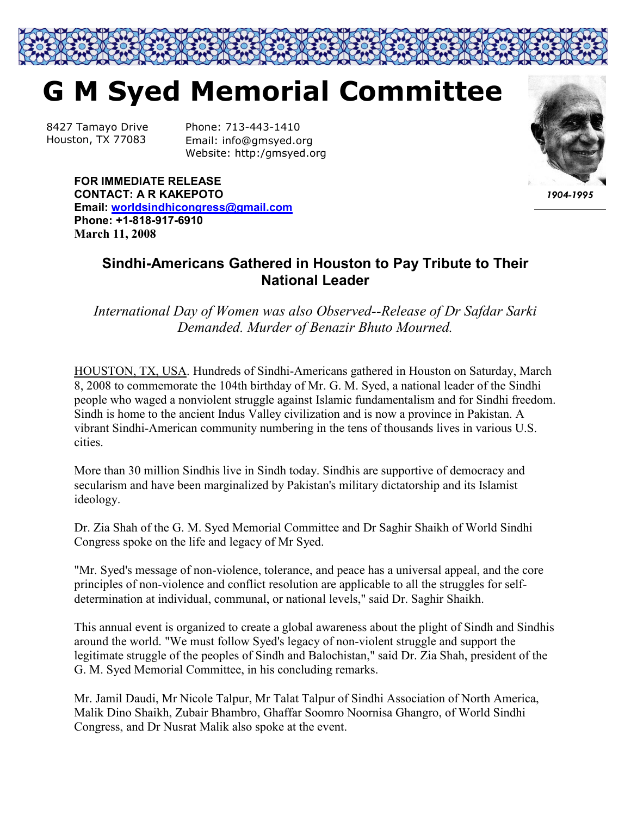## **G M Syed Memorial Committee**

8427 Tamayo Drive Houston, TX 77083

Phone: 713-443-1410 Email: info@gmsyed.org Website: http:/gmsyed.org



*1904-1995*

**FOR IMMEDIATE RELEASE CONTACT: A R KAKEPOTO Email: worldsindhicongress@gmail.com Phone: +1-818-917-6910 March 11, 2008** 

## **Sindhi-Americans Gathered in Houston to Pay Tribute to Their National Leader**

*International Day of Women was also Observed--Release of Dr Safdar Sarki Demanded. Murder of Benazir Bhuto Mourned.*

HOUSTON, TX, USA. Hundreds of Sindhi-Americans gathered in Houston on Saturday, March 8, 2008 to commemorate the 104th birthday of Mr. G. M. Syed, a national leader of the Sindhi people who waged a nonviolent struggle against Islamic fundamentalism and for Sindhi freedom. Sindh is home to the ancient Indus Valley civilization and is now a province in Pakistan. A vibrant Sindhi-American community numbering in the tens of thousands lives in various U.S. cities.

More than 30 million Sindhis live in Sindh today. Sindhis are supportive of democracy and secularism and have been marginalized by Pakistan's military dictatorship and its Islamist ideology.

Dr. Zia Shah of the G. M. Syed Memorial Committee and Dr Saghir Shaikh of World Sindhi Congress spoke on the life and legacy of Mr Syed.

"Mr. Syed's message of non-violence, tolerance, and peace has a universal appeal, and the core principles of non-violence and conflict resolution are applicable to all the struggles for selfdetermination at individual, communal, or national levels," said Dr. Saghir Shaikh.

This annual event is organized to create a global awareness about the plight of Sindh and Sindhis around the world. "We must follow Syed's legacy of non-violent struggle and support the legitimate struggle of the peoples of Sindh and Balochistan," said Dr. Zia Shah, president of the G. M. Syed Memorial Committee, in his concluding remarks.

Mr. Jamil Daudi, Mr Nicole Talpur, Mr Talat Talpur of Sindhi Association of North America, Malik Dino Shaikh, Zubair Bhambro, Ghaffar Soomro Noornisa Ghangro, of World Sindhi Congress, and Dr Nusrat Malik also spoke at the event.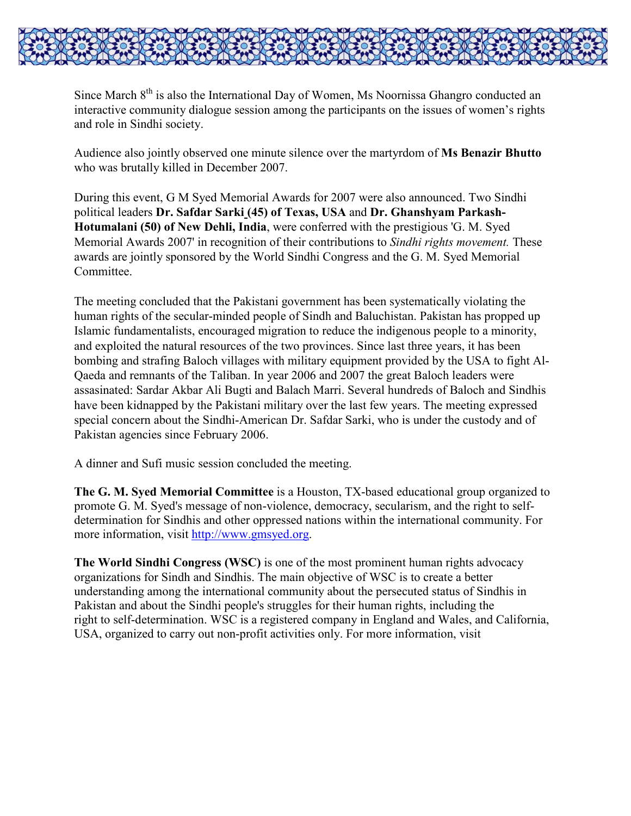

Since March  $8<sup>th</sup>$  is also the International Day of Women, Ms Noornissa Ghangro conducted an interactive community dialogue session among the participants on the issues of women's rights and role in Sindhi society.

Audience also jointly observed one minute silence over the martyrdom of **Ms Benazir Bhutto** who was brutally killed in December 2007.

During this event, G M Syed Memorial Awards for 2007 were also announced. Two Sindhi political leaders **Dr. Safdar Sarki (45) of Texas, USA** and **Dr. Ghanshyam Parkash-Hotumalani (50) of New Dehli, India**, were conferred with the prestigious 'G. M. Syed Memorial Awards 2007' in recognition of their contributions to *Sindhi rights movement.* These awards are jointly sponsored by the World Sindhi Congress and the G. M. Syed Memorial Committee.

The meeting concluded that the Pakistani government has been systematically violating the human rights of the secular-minded people of Sindh and Baluchistan. Pakistan has propped up Islamic fundamentalists, encouraged migration to reduce the indigenous people to a minority, and exploited the natural resources of the two provinces. Since last three years, it has been bombing and strafing Baloch villages with military equipment provided by the USA to fight Al-Qaeda and remnants of the Taliban. In year 2006 and 2007 the great Baloch leaders were assasinated: Sardar Akbar Ali Bugti and Balach Marri. Several hundreds of Baloch and Sindhis have been kidnapped by the Pakistani military over the last few years. The meeting expressed special concern about the Sindhi-American Dr. Safdar Sarki, who is under the custody and of Pakistan agencies since February 2006.

A dinner and Sufi music session concluded the meeting.

**The G. M. Syed Memorial Committee** is a Houston, TX-based educational group organized to promote G. M. Syed's message of non-violence, democracy, secularism, and the right to selfdetermination for Sindhis and other oppressed nations within the international community. For more information, visit http://www.gmsyed.org.

**The World Sindhi Congress (WSC)** is one of the most prominent human rights advocacy organizations for Sindh and Sindhis. The main objective of WSC is to create a better understanding among the international community about the persecuted status of Sindhis in Pakistan and about the Sindhi people's struggles for their human rights, including the right to self-determination. WSC is a registered company in England and Wales, and California, USA, organized to carry out non-profit activities only. For more information, visit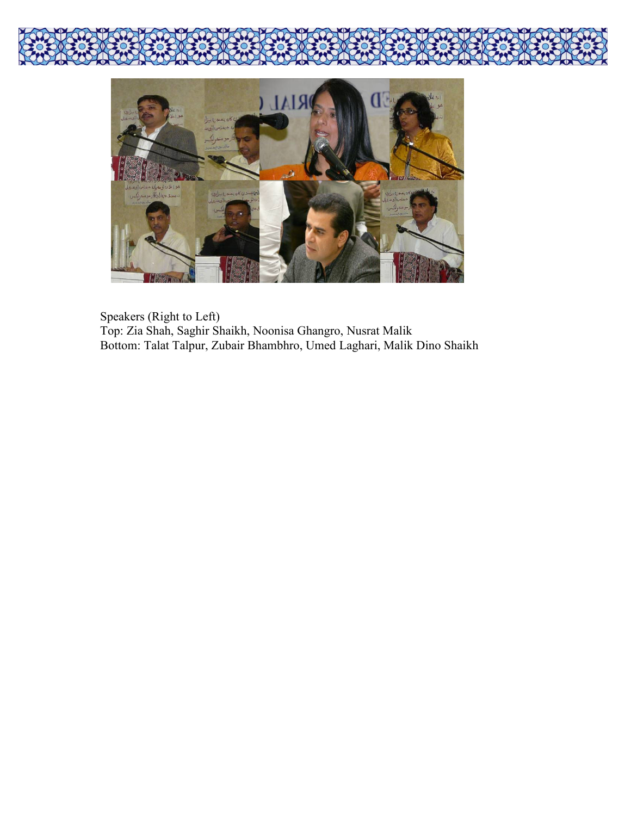

Speakers (Right to Left) Top: Zia Shah, Saghir Shaikh, Noonisa Ghangro, Nusrat Malik Bottom: Talat Talpur, Zubair Bhambhro, Umed Laghari, Malik Dino Shaikh